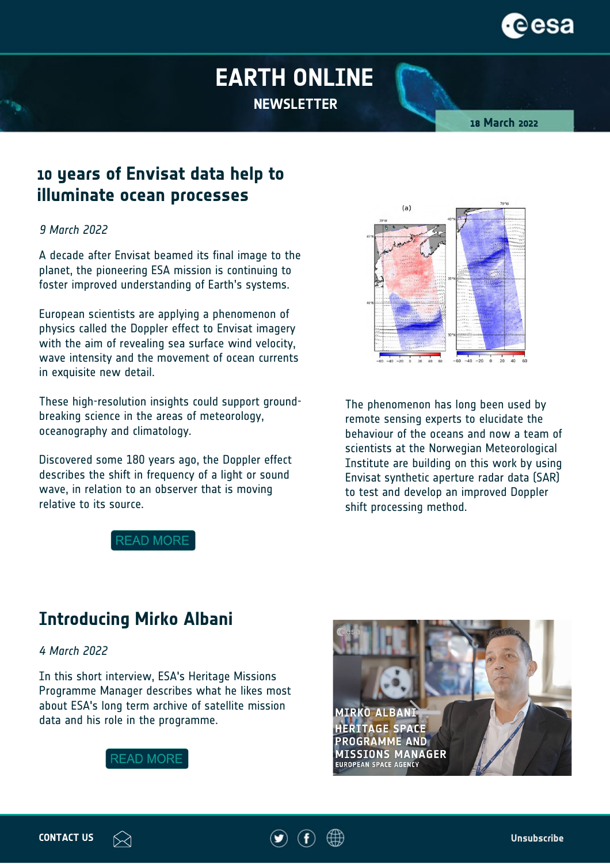## **EARTH ONLINE NEWSLETTER**

**18 March 2022**

### **10 years of Envisat data help to illuminate ocean processes**

#### *9 March 2022*

A decade after Envisat beamed its final image to the planet, the pioneering ESA mission is continuing to foster improved understanding of Earth's systems.

European scientists are applying a phenomenon of physics called the Doppler effect to Envisat imagery with the aim of revealing sea surface wind velocity, wave intensity and the movement of ocean currents in exquisite new detail.

These high-resolution insights could support groundbreaking science in the areas of meteorology, oceanography and climatology.

Discovered some 180 years ago, the Doppler effect describes the shift in frequency of a light or sound wave, in relation to an observer that is moving relative to its source.

**READ MORE** 



The phenomenon has long been used by remote sensing experts to elucidate the behaviour of the oceans and now a team of scientists at the Norwegian Meteorological Institute are building on this work by using Envisat synthetic aperture radar data (SAR) to test and develop an improved Doppler shift processing method.

# **Introducing Mirko Albani**

*4 March 2022*

In this short interview, ESA's Heritage Missions Programme Manager describes what he likes most about ESA's long term archive of satellite mission data and his role in the programme.



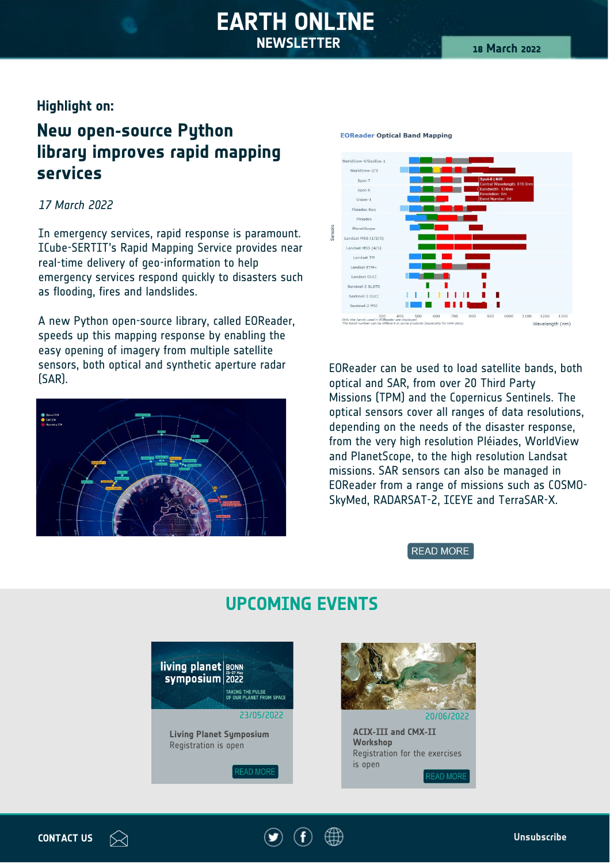### **EARTH ONLINE NEWSLETTER**

### **Highlight on:**

### **New open-source Python library improves rapid mapping services**

#### *17 March 2022*

In emergency services, rapid response is paramount. ICube-SERTIT's Rapid Mapping Service provides near real-time delivery of geo-information to help emergency services respond quickly to disasters such as flooding, fires and landslides.

A new Python open-source library, called EOReader, speeds up this mapping response by enabling the easy opening of imagery from multiple satellite sensors, both optical and synthetic aperture radar sensors, both optical and synthetic aperture radar end approach be used to load satellite bands, both SAR).<br>CAR). Third Party





#### **EOReader Optical Band Mapping**

optical and SAR, from over 20 Third Party Missions (TPM) and the Copernicus Sentinels. The optical sensors cover all ranges of data resolutions, depending on the needs of the disaster response, from the very high resolution Pléiades, WorldView and PlanetScope, to the high resolution Landsat missions. SAR sensors can also be managed in EOReader from a range of missions such as COSMO-SkyMed, RADARSAT-2, ICEYE and TerraSAR-X.

#### **READ MORE**



### **UPCOMING EVENTS**